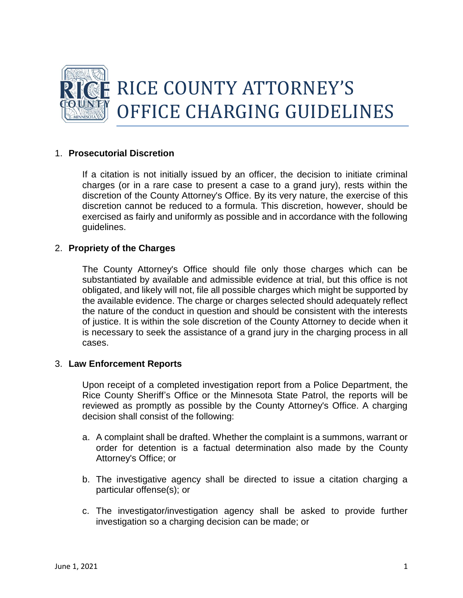

# 1. **Prosecutorial Discretion**

If a citation is not initially issued by an officer, the decision to initiate criminal charges (or in a rare case to present a case to a grand jury), rests within the discretion of the County Attorney's Office. By its very nature, the exercise of this discretion cannot be reduced to a formula. This discretion, however, should be exercised as fairly and uniformly as possible and in accordance with the following guidelines.

# 2. **Propriety of the Charges**

The County Attorney's Office should file only those charges which can be substantiated by available and admissible evidence at trial, but this office is not obligated, and likely will not, file all possible charges which might be supported by the available evidence. The charge or charges selected should adequately reflect the nature of the conduct in question and should be consistent with the interests of justice. It is within the sole discretion of the County Attorney to decide when it is necessary to seek the assistance of a grand jury in the charging process in all cases.

### 3. **Law Enforcement Reports**

Upon receipt of a completed investigation report from a Police Department, the Rice County Sheriff's Office or the Minnesota State Patrol, the reports will be reviewed as promptly as possible by the County Attorney's Office. A charging decision shall consist of the following:

- a. A complaint shall be drafted. Whether the complaint is a summons, warrant or order for detention is a factual determination also made by the County Attorney's Office; or
- b. The investigative agency shall be directed to issue a citation charging a particular offense(s); or
- c. The investigator/investigation agency shall be asked to provide further investigation so a charging decision can be made; or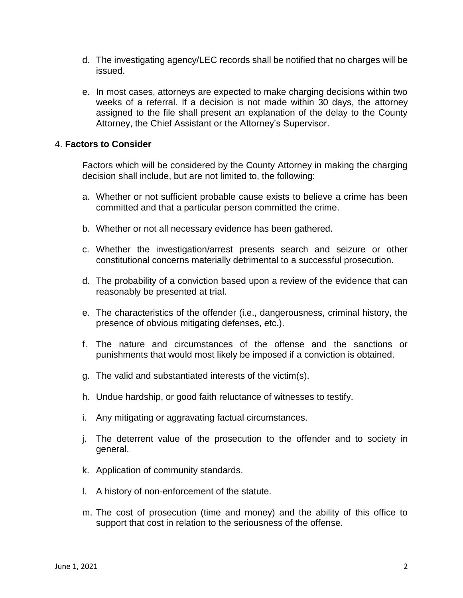- d. The investigating agency/LEC records shall be notified that no charges will be issued.
- e. In most cases, attorneys are expected to make charging decisions within two weeks of a referral. If a decision is not made within 30 days, the attorney assigned to the file shall present an explanation of the delay to the County Attorney, the Chief Assistant or the Attorney's Supervisor.

### 4. **Factors to Consider**

Factors which will be considered by the County Attorney in making the charging decision shall include, but are not limited to, the following:

- a. Whether or not sufficient probable cause exists to believe a crime has been committed and that a particular person committed the crime.
- b. Whether or not all necessary evidence has been gathered.
- c. Whether the investigation/arrest presents search and seizure or other constitutional concerns materially detrimental to a successful prosecution.
- d. The probability of a conviction based upon a review of the evidence that can reasonably be presented at trial.
- e. The characteristics of the offender (i.e., dangerousness, criminal history, the presence of obvious mitigating defenses, etc.).
- f. The nature and circumstances of the offense and the sanctions or punishments that would most likely be imposed if a conviction is obtained.
- g. The valid and substantiated interests of the victim(s).
- h. Undue hardship, or good faith reluctance of witnesses to testify.
- i. Any mitigating or aggravating factual circumstances.
- j. The deterrent value of the prosecution to the offender and to society in general.
- k. Application of community standards.
- l. A history of non-enforcement of the statute.
- m. The cost of prosecution (time and money) and the ability of this office to support that cost in relation to the seriousness of the offense.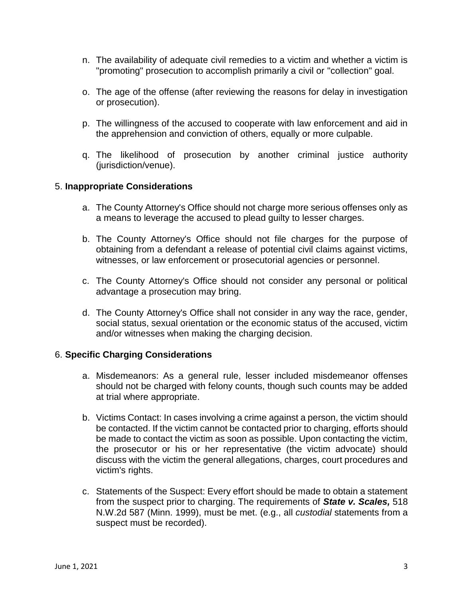- n. The availability of adequate civil remedies to a victim and whether a victim is "promoting" prosecution to accomplish primarily a civil or "collection" goal.
- o. The age of the offense (after reviewing the reasons for delay in investigation or prosecution).
- p. The willingness of the accused to cooperate with law enforcement and aid in the apprehension and conviction of others, equally or more culpable.
- q. The likelihood of prosecution by another criminal justice authority (jurisdiction/venue).

# 5. **Inappropriate Considerations**

- a. The County Attorney's Office should not charge more serious offenses only as a means to leverage the accused to plead guilty to lesser charges.
- b. The County Attorney's Office should not file charges for the purpose of obtaining from a defendant a release of potential civil claims against victims, witnesses, or law enforcement or prosecutorial agencies or personnel.
- c. The County Attorney's Office should not consider any personal or political advantage a prosecution may bring.
- d. The County Attorney's Office shall not consider in any way the race, gender, social status, sexual orientation or the economic status of the accused, victim and/or witnesses when making the charging decision.

### 6. **Specific Charging Considerations**

- a. Misdemeanors: As a general rule, lesser included misdemeanor offenses should not be charged with felony counts, though such counts may be added at trial where appropriate.
- b. Victims Contact: In cases involving a crime against a person, the victim should be contacted. If the victim cannot be contacted prior to charging, efforts should be made to contact the victim as soon as possible. Upon contacting the victim, the prosecutor or his or her representative (the victim advocate) should discuss with the victim the general allegations, charges, court procedures and victim's rights.
- c. Statements of the Suspect: Every effort should be made to obtain a statement from the suspect prior to charging. The requirements of *State v. Scales,* 518 N.W.2d 587 (Minn. 1999), must be met. (e.g., all *custodial* statements from a suspect must be recorded).